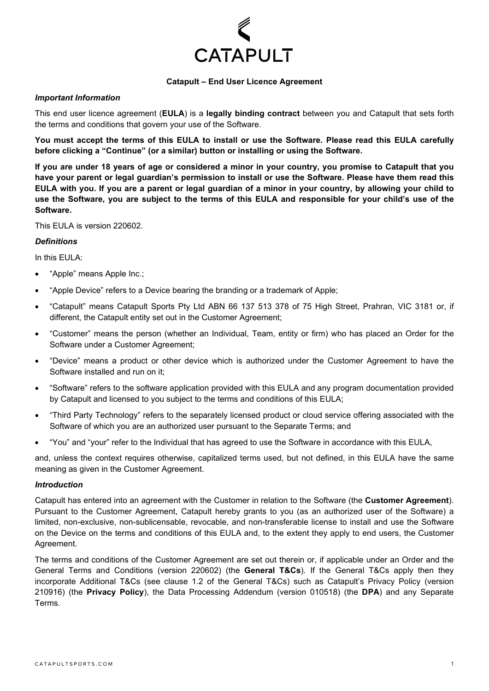

## **Catapult – End User Licence Agreement**

### *Important Information*

This end user licence agreement (**EULA**) is a **legally binding contract** between you and Catapult that sets forth the terms and conditions that govern your use of the Software.

**You must accept the terms of this EULA to install or use the Software. Please read this EULA carefully before clicking a "Continue" (or a similar) button or installing or using the Software.**

**If you are under 18 years of age or considered a minor in your country, you promise to Catapult that you have your parent or legal guardian's permission to install or use the Software. Please have them read this EULA with you. If you are a parent or legal guardian of a minor in your country, by allowing your child to use the Software, you are subject to the terms of this EULA and responsible for your child's use of the Software.** 

This EULA is version 220602.

## *Definitions*

In this FULA:

- "Apple" means Apple Inc.;
- "Apple Device" refers to a Device bearing the branding or a trademark of Apple;
- "Catapult" means Catapult Sports Pty Ltd ABN 66 137 513 378 of 75 High Street, Prahran, VIC 3181 or, if different, the Catapult entity set out in the Customer Agreement;
- "Customer" means the person (whether an Individual, Team, entity or firm) who has placed an Order for the Software under a Customer Agreement;
- "Device" means a product or other device which is authorized under the Customer Agreement to have the Software installed and run on it;
- "Software" refers to the software application provided with this EULA and any program documentation provided by Catapult and licensed to you subject to the terms and conditions of this EULA;
- "Third Party Technology" refers to the separately licensed product or cloud service offering associated with the Software of which you are an authorized user pursuant to the Separate Terms; and
- "You" and "your" refer to the Individual that has agreed to use the Software in accordance with this EULA,

and, unless the context requires otherwise, capitalized terms used, but not defined, in this EULA have the same meaning as given in the Customer Agreement.

### *Introduction*

Catapult has entered into an agreement with the Customer in relation to the Software (the **Customer Agreement**). Pursuant to the Customer Agreement, Catapult hereby grants to you (as an authorized user of the Software) a limited, non-exclusive, non-sublicensable, revocable, and non-transferable license to install and use the Software on the Device on the terms and conditions of this EULA and, to the extent they apply to end users, the Customer Agreement.

The terms and conditions of the Customer Agreement are set out therein or, if applicable under an Order and the General Terms and Conditions (version 220602) (the **General T&Cs**). If the General T&Cs apply then they incorporate Additional T&Cs (see clause 1.2 of the General T&Cs) such as Catapult's Privacy Policy (version 210916) (the **Privacy Policy**), the Data Processing Addendum (version 010518) (the **DPA**) and any Separate Terms.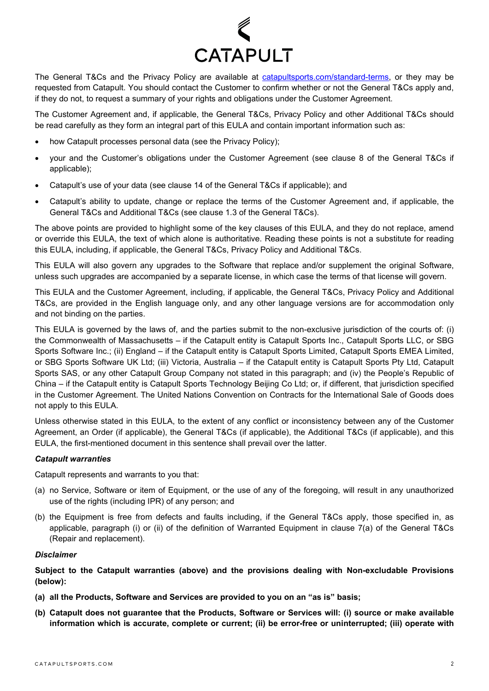

The General T&Cs and the Privacy Policy are available at [catapultsports.com/standard-terms,](https://www.catapultsports.com/standard-terms) or they may be requested from Catapult. You should contact the Customer to confirm whether or not the General T&Cs apply and, if they do not, to request a summary of your rights and obligations under the Customer Agreement.

The Customer Agreement and, if applicable, the General T&Cs, Privacy Policy and other Additional T&Cs should be read carefully as they form an integral part of this EULA and contain important information such as:

- how Catapult processes personal data (see the Privacy Policy);
- your and the Customer's obligations under the Customer Agreement (see clause 8 of the General T&Cs if applicable);
- Catapult's use of your data (see clause 14 of the General T&Cs if applicable); and
- Catapult's ability to update, change or replace the terms of the Customer Agreement and, if applicable, the General T&Cs and Additional T&Cs (see clause 1.3 of the General T&Cs).

The above points are provided to highlight some of the key clauses of this EULA, and they do not replace, amend or override this EULA, the text of which alone is authoritative. Reading these points is not a substitute for reading this EULA, including, if applicable, the General T&Cs, Privacy Policy and Additional T&Cs.

This EULA will also govern any upgrades to the Software that replace and/or supplement the original Software, unless such upgrades are accompanied by a separate license, in which case the terms of that license will govern.

This EULA and the Customer Agreement, including, if applicable, the General T&Cs, Privacy Policy and Additional T&Cs, are provided in the English language only, and any other language versions are for accommodation only and not binding on the parties.

This EULA is governed by the laws of, and the parties submit to the non-exclusive jurisdiction of the courts of: (i) the Commonwealth of Massachusetts – if the Catapult entity is Catapult Sports Inc., Catapult Sports LLC, or SBG Sports Software Inc.; (ii) England – if the Catapult entity is Catapult Sports Limited, Catapult Sports EMEA Limited, or SBG Sports Software UK Ltd; (iii) Victoria, Australia – if the Catapult entity is Catapult Sports Pty Ltd, Catapult Sports SAS, or any other Catapult Group Company not stated in this paragraph; and (iv) the People's Republic of China – if the Catapult entity is Catapult Sports Technology Beijing Co Ltd; or, if different, that jurisdiction specified in the Customer Agreement. The United Nations Convention on Contracts for the International Sale of Goods does not apply to this EULA.

Unless otherwise stated in this EULA, to the extent of any conflict or inconsistency between any of the Customer Agreement, an Order (if applicable), the General T&Cs (if applicable), the Additional T&Cs (if applicable), and this EULA, the first-mentioned document in this sentence shall prevail over the latter.

# *Catapult warranties*

Catapult represents and warrants to you that:

- (a) no Service, Software or item of Equipment, or the use of any of the foregoing, will result in any unauthorized use of the rights (including IPR) of any person; and
- (b) the Equipment is free from defects and faults including, if the General T&Cs apply, those specified in, as applicable, paragraph (i) or (ii) of the definition of Warranted Equipment in clause 7(a) of the General T&Cs (Repair and replacement).

### *Disclaimer*

**Subject to the Catapult warranties (above) and the provisions dealing with Non-excludable Provisions (below):**

- **(a) all the Products, Software and Services are provided to you on an "as is" basis;**
- **(b) Catapult does not guarantee that the Products, Software or Services will: (i) source or make available information which is accurate, complete or current; (ii) be error-free or uninterrupted; (iii) operate with**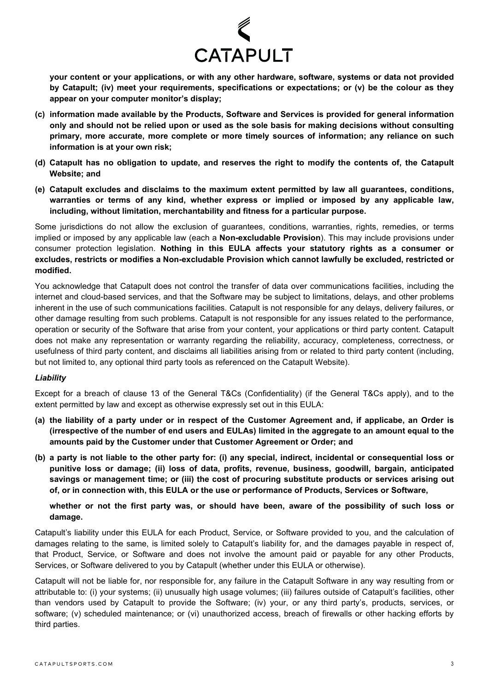

**your content or your applications, or with any other hardware, software, systems or data not provided by Catapult; (iv) meet your requirements, specifications or expectations; or (v) be the colour as they appear on your computer monitor's display;**

- **(c) information made available by the Products, Software and Services is provided for general information only and should not be relied upon or used as the sole basis for making decisions without consulting primary, more accurate, more complete or more timely sources of information; any reliance on such information is at your own risk;**
- **(d) Catapult has no obligation to update, and reserves the right to modify the contents of, the Catapult Website; and**
- **(e) Catapult excludes and disclaims to the maximum extent permitted by law all guarantees, conditions, warranties or terms of any kind, whether express or implied or imposed by any applicable law, including, without limitation, merchantability and fitness for a particular purpose.**

Some jurisdictions do not allow the exclusion of guarantees, conditions, warranties, rights, remedies, or terms implied or imposed by any applicable law (each a **Non-excludable Provision**). This may include provisions under consumer protection legislation. **Nothing in this EULA affects your statutory rights as a consumer or excludes, restricts or modifies a Non-excludable Provision which cannot lawfully be excluded, restricted or modified.**

You acknowledge that Catapult does not control the transfer of data over communications facilities, including the internet and cloud-based services, and that the Software may be subject to limitations, delays, and other problems inherent in the use of such communications facilities. Catapult is not responsible for any delays, delivery failures, or other damage resulting from such problems. Catapult is not responsible for any issues related to the performance, operation or security of the Software that arise from your content, your applications or third party content. Catapult does not make any representation or warranty regarding the reliability, accuracy, completeness, correctness, or usefulness of third party content, and disclaims all liabilities arising from or related to third party content (including, but not limited to, any optional third party tools as referenced on the Catapult Website).

# *Liability*

Except for a breach of clause 13 of the General T&Cs (Confidentiality) (if the General T&Cs apply), and to the extent permitted by law and except as otherwise expressly set out in this EULA:

- **(a) the liability of a party under or in respect of the Customer Agreement and, if applicabe, an Order is (irrespective of the number of end users and EULAs) limited in the aggregate to an amount equal to the amounts paid by the Customer under that Customer Agreement or Order; and**
- **(b) a party is not liable to the other party for: (i) any special, indirect, incidental or consequential loss or punitive loss or damage; (ii) loss of data, profits, revenue, business, goodwill, bargain, anticipated savings or management time; or (iii) the cost of procuring substitute products or services arising out of, or in connection with, this EULA or the use or performance of Products, Services or Software,**

**whether or not the first party was, or should have been, aware of the possibility of such loss or damage.** 

Catapult's liability under this EULA for each Product, Service, or Software provided to you, and the calculation of damages relating to the same, is limited solely to Catapult's liability for, and the damages payable in respect of, that Product, Service, or Software and does not involve the amount paid or payable for any other Products, Services, or Software delivered to you by Catapult (whether under this EULA or otherwise).

Catapult will not be liable for, nor responsible for, any failure in the Catapult Software in any way resulting from or attributable to: (i) your systems; (ii) unusually high usage volumes; (iii) failures outside of Catapult's facilities, other than vendors used by Catapult to provide the Software; (iv) your, or any third party's, products, services, or software; (v) scheduled maintenance; or (vi) unauthorized access, breach of firewalls or other hacking efforts by third parties.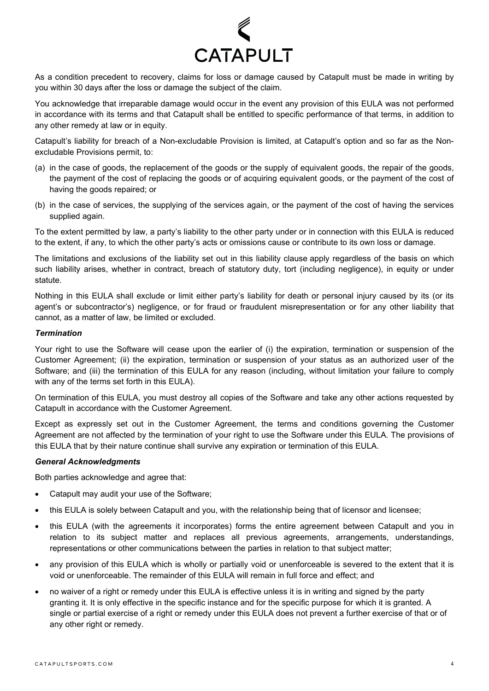

As a condition precedent to recovery, claims for loss or damage caused by Catapult must be made in writing by you within 30 days after the loss or damage the subject of the claim.

You acknowledge that irreparable damage would occur in the event any provision of this EULA was not performed in accordance with its terms and that Catapult shall be entitled to specific performance of that terms, in addition to any other remedy at law or in equity.

Catapult's liability for breach of a Non-excludable Provision is limited, at Catapult's option and so far as the Nonexcludable Provisions permit, to:

- (a) in the case of goods, the replacement of the goods or the supply of equivalent goods, the repair of the goods, the payment of the cost of replacing the goods or of acquiring equivalent goods, or the payment of the cost of having the goods repaired; or
- (b) in the case of services, the supplying of the services again, or the payment of the cost of having the services supplied again.

To the extent permitted by law, a party's liability to the other party under or in connection with this EULA is reduced to the extent, if any, to which the other party's acts or omissions cause or contribute to its own loss or damage.

The limitations and exclusions of the liability set out in this liability clause apply regardless of the basis on which such liability arises, whether in contract, breach of statutory duty, tort (including negligence), in equity or under statute.

Nothing in this EULA shall exclude or limit either party's liability for death or personal injury caused by its (or its agent's or subcontractor's) negligence, or for fraud or fraudulent misrepresentation or for any other liability that cannot, as a matter of law, be limited or excluded.

### *Termination*

Your right to use the Software will cease upon the earlier of (i) the expiration, termination or suspension of the Customer Agreement; (ii) the expiration, termination or suspension of your status as an authorized user of the Software; and (iii) the termination of this EULA for any reason (including, without limitation your failure to comply with any of the terms set forth in this EULA).

On termination of this EULA, you must destroy all copies of the Software and take any other actions requested by Catapult in accordance with the Customer Agreement.

Except as expressly set out in the Customer Agreement, the terms and conditions governing the Customer Agreement are not affected by the termination of your right to use the Software under this EULA. The provisions of this EULA that by their nature continue shall survive any expiration or termination of this EULA.

### *General Acknowledgments*

Both parties acknowledge and agree that:

- Catapult may audit your use of the Software;
- this EULA is solely between Catapult and you, with the relationship being that of licensor and licensee;
- this EULA (with the agreements it incorporates) forms the entire agreement between Catapult and you in relation to its subject matter and replaces all previous agreements, arrangements, understandings, representations or other communications between the parties in relation to that subject matter;
- any provision of this EULA which is wholly or partially void or unenforceable is severed to the extent that it is void or unenforceable. The remainder of this EULA will remain in full force and effect; and
- no waiver of a right or remedy under this EULA is effective unless it is in writing and signed by the party granting it. It is only effective in the specific instance and for the specific purpose for which it is granted. A single or partial exercise of a right or remedy under this EULA does not prevent a further exercise of that or of any other right or remedy.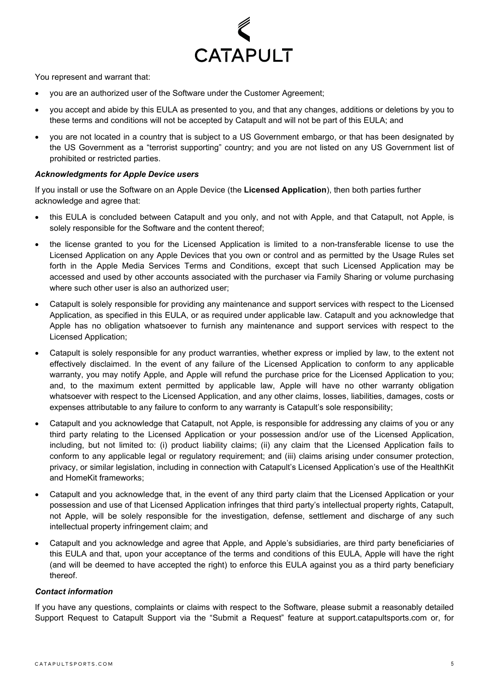

You represent and warrant that:

- you are an authorized user of the Software under the Customer Agreement;
- you accept and abide by this EULA as presented to you, and that any changes, additions or deletions by you to these terms and conditions will not be accepted by Catapult and will not be part of this EULA; and
- you are not located in a country that is subject to a US Government embargo, or that has been designated by the US Government as a "terrorist supporting" country; and you are not listed on any US Government list of prohibited or restricted parties.

## *Acknowledgments for Apple Device users*

If you install or use the Software on an Apple Device (the **Licensed Application**), then both parties further acknowledge and agree that:

- this EULA is concluded between Catapult and you only, and not with Apple, and that Catapult, not Apple, is solely responsible for the Software and the content thereof;
- the license granted to you for the Licensed Application is limited to a non-transferable license to use the Licensed Application on any Apple Devices that you own or control and as permitted by the Usage Rules set forth in the Apple Media Services Terms and Conditions, except that such Licensed Application may be accessed and used by other accounts associated with the purchaser via Family Sharing or volume purchasing where such other user is also an authorized user:
- Catapult is solely responsible for providing any maintenance and support services with respect to the Licensed Application, as specified in this EULA, or as required under applicable law. Catapult and you acknowledge that Apple has no obligation whatsoever to furnish any maintenance and support services with respect to the Licensed Application;
- Catapult is solely responsible for any product warranties, whether express or implied by law, to the extent not effectively disclaimed. In the event of any failure of the Licensed Application to conform to any applicable warranty, you may notify Apple, and Apple will refund the purchase price for the Licensed Application to you; and, to the maximum extent permitted by applicable law, Apple will have no other warranty obligation whatsoever with respect to the Licensed Application, and any other claims, losses, liabilities, damages, costs or expenses attributable to any failure to conform to any warranty is Catapult's sole responsibility;
- Catapult and you acknowledge that Catapult, not Apple, is responsible for addressing any claims of you or any third party relating to the Licensed Application or your possession and/or use of the Licensed Application, including, but not limited to: (i) product liability claims; (ii) any claim that the Licensed Application fails to conform to any applicable legal or regulatory requirement; and (iii) claims arising under consumer protection, privacy, or similar legislation, including in connection with Catapult's Licensed Application's use of the HealthKit and HomeKit frameworks;
- Catapult and you acknowledge that, in the event of any third party claim that the Licensed Application or your possession and use of that Licensed Application infringes that third party's intellectual property rights, Catapult, not Apple, will be solely responsible for the investigation, defense, settlement and discharge of any such intellectual property infringement claim; and
- Catapult and you acknowledge and agree that Apple, and Apple's subsidiaries, are third party beneficiaries of this EULA and that, upon your acceptance of the terms and conditions of this EULA, Apple will have the right (and will be deemed to have accepted the right) to enforce this EULA against you as a third party beneficiary thereof.

### *Contact information*

If you have any questions, complaints or claims with respect to the Software, please submit a reasonably detailed Support Request to Catapult Support via the "Submit a Request" feature at support.catapultsports.com or, for